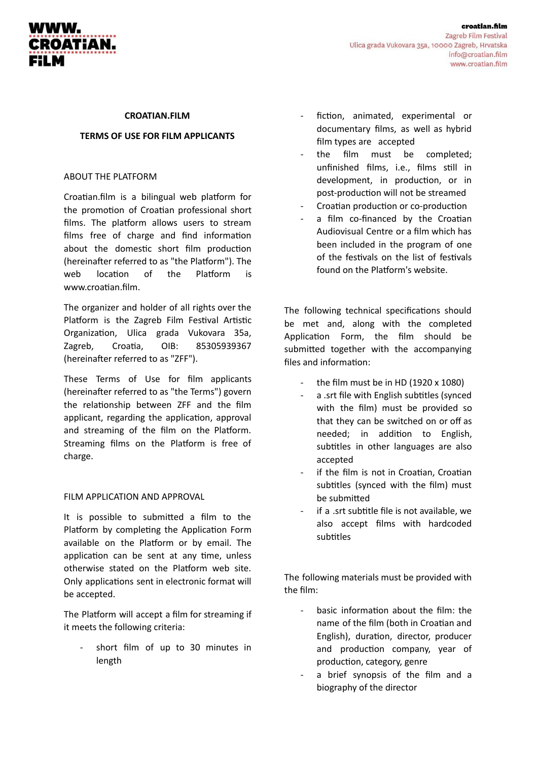

#### **CROATIAN.FILM**

### **TERMS OF USE FOR FILM APPLICANTS**

## ABOUT THE PLATFORM

Croatian.film is a bilingual web platform for the promotion of Croatian professional short films. The platform allows users to stream films free of charge and find information about the domestic short film production (hereinafter referred to as "the Platform"). The web location of the Platform is www.croatian.film.

The organizer and holder of all rights over the Platform is the Zagreb Film Festival Artistic Organization, Ulica grada Vukovara 35a, Zagreb, Croatia, OIB: 85305939367 (hereinafter referred to as "ZFF").

These Terms of Use for film applicants (hereinafter referred to as "the Terms") govern the relationship between ZFF and the film applicant, regarding the application, approval and streaming of the film on the Platform. Streaming films on the Platform is free of charge.

### FILM APPLICATION AND APPROVAL

It is possible to submitted a film to the Platform by completing the Application Form available on the Platform or by email. The application can be sent at any time, unless otherwise stated on the Platform web site. Only applications sent in electronic format will be accepted.

The Platform will accept a film for streaming if it meets the following criteria:

short film of up to 30 minutes in length

- fiction, animated, experimental or documentary films, as well as hybrid film types are accepted
- the film must be completed; unfinished films, i.e., films still in development, in production, or in post-production will not be streamed
- Croatian production or co-production
- a film co-financed by the Croatian Audiovisual Centre or a film which has been included in the program of one of the festivals on the list of festivals found on the Platform's website.

The following technical specifications should be met and, along with the completed Application Form, the film should be submitted together with the accompanying files and information:

- the film must be in HD (1920  $\times$  1080)
- a .srt file with English subtitles (synced with the film) must be provided so that they can be switched on or off as needed; in addition to English, subtitles in other languages are also accepted
- if the film is not in Croatian, Croatian subtitles (synced with the film) must be submitted
- if a .srt subtitle file is not available, we also accept films with hardcoded subtitles

The following materials must be provided with the film:

- basic information about the film: the name of the film (both in Croatian and English), duration, director, producer and production company, year of production, category, genre
- a brief synopsis of the film and a biography of the director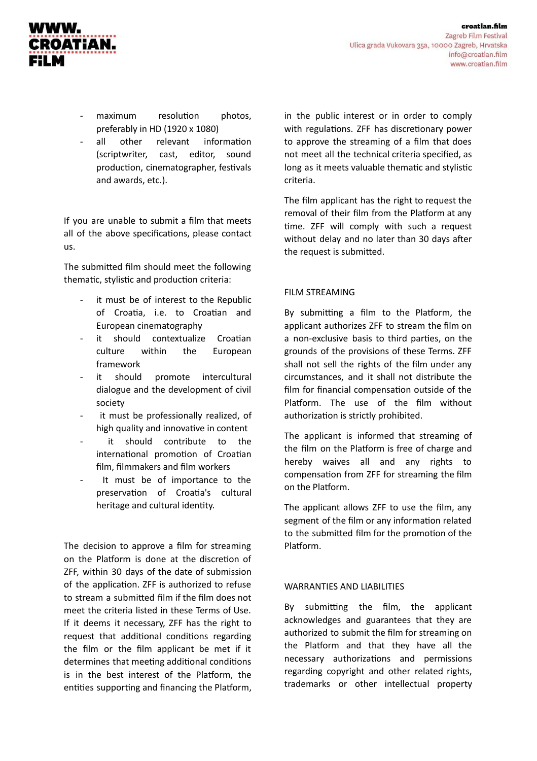

- maximum resolution photos, preferably in HD (1920 x 1080)
- all other relevant information (scriptwriter, cast, editor, sound production, cinematographer, festivals and awards, etc.).

If you are unable to submit a film that meets all of the above specifications, please contact us.

The submitted film should meet the following thematic, stylistic and production criteria:

- it must be of interest to the Republic of Croatia, i.e. to Croatian and European cinematography
- it should contextualize Croatian culture within the European framework
- it should promote intercultural dialogue and the development of civil society
- it must be professionally realized, of high quality and innovative in content
- it should contribute to the international promotion of Croatian film, filmmakers and film workers
- It must be of importance to the preservation of Croatia's cultural heritage and cultural identity.

The decision to approve a film for streaming on the Platform is done at the discretion of ZFF, within 30 days of the date of submission of the application. ZFF is authorized to refuse to stream a submitted film if the film does not meet the criteria listed in these Terms of Use. If it deems it necessary, ZFF has the right to request that additional conditions regarding the film or the film applicant be met if it determines that meeting additional conditions is in the best interest of the Platform, the entities supporting and financing the Platform,

in the public interest or in order to comply with regulations. ZFF has discretionary power to approve the streaming of a film that does not meet all the technical criteria specified, as long as it meets valuable thematic and stylistic criteria.

The film applicant has the right to request the removal of their film from the Platform at any time. ZFF will comply with such a request without delay and no later than 30 days after the request is submitted.

## FILM STREAMING

By submitting a film to the Platform, the applicant authorizes ZFF to stream the film on a non-exclusive basis to third parties, on the grounds of the provisions of these Terms. ZFF shall not sell the rights of the film under any circumstances, and it shall not distribute the film for financial compensation outside of the Platform. The use of the film without authorization is strictly prohibited.

The applicant is informed that streaming of the film on the Platform is free of charge and hereby waives all and any rights to compensation from ZFF for streaming the film on the Platform.

The applicant allows ZFF to use the film, any segment of the film or any information related to the submitted film for the promotion of the Platform.

## WARRANTIES AND LIABILITIES

By submitting the film, the applicant acknowledges and guarantees that they are authorized to submit the film for streaming on the Platform and that they have all the necessary authorizations and permissions regarding copyright and other related rights, trademarks or other intellectual property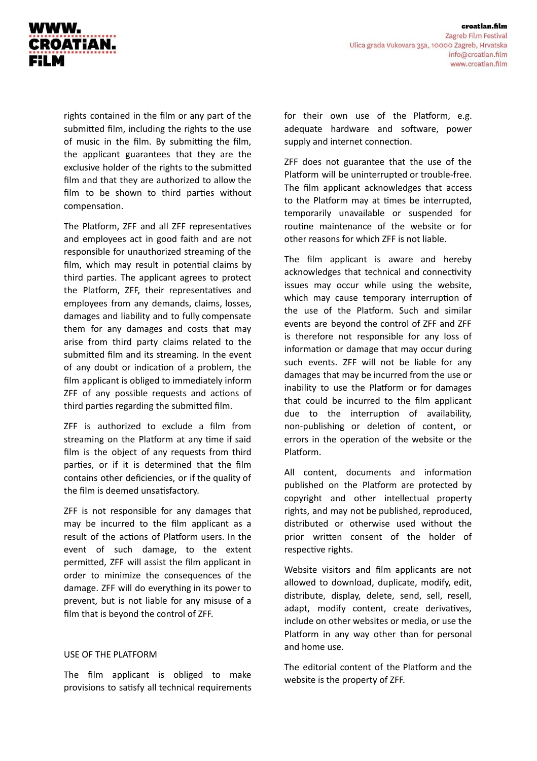

rights contained in the film or any part of the submitted film, including the rights to the use of music in the film. By submitting the film, the applicant guarantees that they are the exclusive holder of the rights to the submitted film and that they are authorized to allow the film to be shown to third parties without compensation.

The Platform, ZFF and all ZFF representatives and employees act in good faith and are not responsible for unauthorized streaming of the film, which may result in potential claims by third parties. The applicant agrees to protect the Platform, ZFF, their representatives and employees from any demands, claims, losses, damages and liability and to fully compensate them for any damages and costs that may arise from third party claims related to the submitted film and its streaming. In the event of any doubt or indication of a problem, the film applicant is obliged to immediately inform ZFF of any possible requests and actions of third parties regarding the submitted film.

ZFF is authorized to exclude a film from streaming on the Platform at any time if said film is the object of any requests from third parties, or if it is determined that the film contains other deficiencies, or if the quality of the film is deemed unsatisfactory.

ZFF is not responsible for any damages that may be incurred to the film applicant as a result of the actions of Platform users. In the event of such damage, to the extent permitted, ZFF will assist the film applicant in order to minimize the consequences of the damage. ZFF will do everything in its power to prevent, but is not liable for any misuse of a film that is beyond the control of ZFF.

### USE OF THE PLATFORM

The film applicant is obliged to make provisions to satisfy all technical requirements for their own use of the Platform, e.g. adequate hardware and software, power supply and internet connection.

ZFF does not guarantee that the use of the Platform will be uninterrupted or trouble-free. The film applicant acknowledges that access to the Platform may at times be interrupted, temporarily unavailable or suspended for routine maintenance of the website or for other reasons for which ZFF is not liable.

The film applicant is aware and hereby acknowledges that technical and connectivity issues may occur while using the website, which may cause temporary interruption of the use of the Platform. Such and similar events are beyond the control of ZFF and ZFF is therefore not responsible for any loss of information or damage that may occur during such events. ZFF will not be liable for any damages that may be incurred from the use or inability to use the Platform or for damages that could be incurred to the film applicant due to the interruption of availability, non-publishing or deletion of content, or errors in the operation of the website or the Platform.

All content, documents and information published on the Platform are protected by copyright and other intellectual property rights, and may not be published, reproduced, distributed or otherwise used without the prior written consent of the holder of respective rights.

Website visitors and film applicants are not allowed to download, duplicate, modify, edit, distribute, display, delete, send, sell, resell, adapt, modify content, create derivatives, include on other websites or media, or use the Platform in any way other than for personal and home use.

The editorial content of the Platform and the website is the property of ZFF.